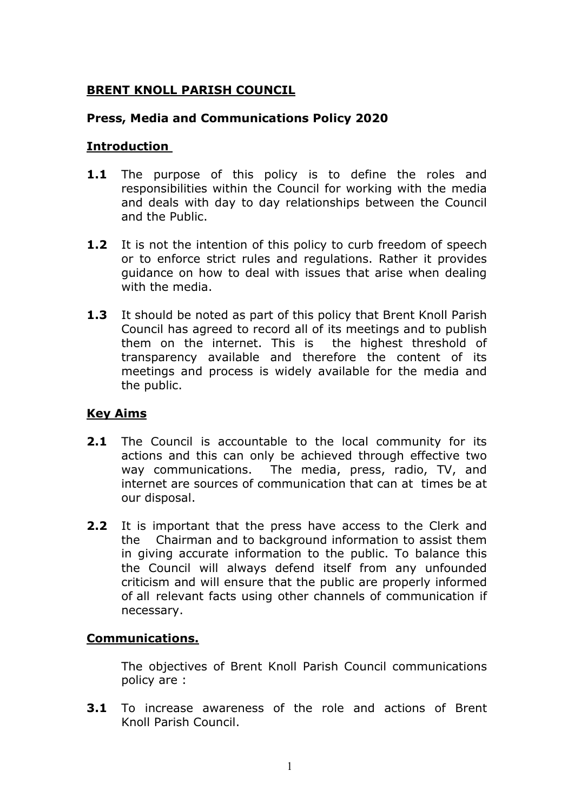## BRENT KNOLL PARISH COUNCIL

### Press, Media and Communications Policy 2020

### Introduction

- **1.1** The purpose of this policy is to define the roles and responsibilities within the Council for working with the media and deals with day to day relationships between the Council and the Public.
- **1.2** It is not the intention of this policy to curb freedom of speech or to enforce strict rules and regulations. Rather it provides guidance on how to deal with issues that arise when dealing with the media.
- **1.3** It should be noted as part of this policy that Brent Knoll Parish Council has agreed to record all of its meetings and to publish them on the internet. This is the highest threshold of transparency available and therefore the content of its meetings and process is widely available for the media and the public.

### Key Aims

- **2.1** The Council is accountable to the local community for its actions and this can only be achieved through effective two way communications. The media, press, radio, TV, and internet are sources of communication that can at times be at our disposal.
- 2.2 It is important that the press have access to the Clerk and the Chairman and to background information to assist them in giving accurate information to the public. To balance this the Council will always defend itself from any unfounded criticism and will ensure that the public are properly informed of all relevant facts using other channels of communication if necessary.

### Communications.

The objectives of Brent Knoll Parish Council communications policy are :

**3.1** To increase awareness of the role and actions of Brent Knoll Parish Council.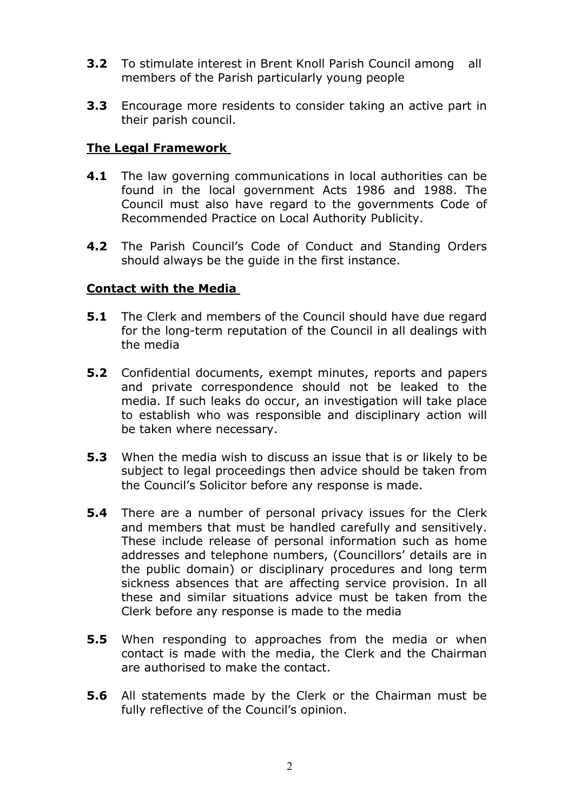- 3.2 To stimulate interest in Brent Knoll Parish Council among all members of the Parish particularly young people
- **3.3** Encourage more residents to consider taking an active part in their parish council.

#### The Legal Framework

- **4.1** The law governing communications in local authorities can be found in the local government Acts 1986 and 1988. The Council must also have regard to the governments Code of Recommended Practice on Local Authority Publicity.
- 4.2 The Parish Council's Code of Conduct and Standing Orders should always be the guide in the first instance.

#### Contact with the Media

- **5.1** The Clerk and members of the Council should have due regard for the long-term reputation of the Council in all dealings with the media
- **5.2** Confidential documents, exempt minutes, reports and papers and private correspondence should not be leaked to the media. If such leaks do occur, an investigation will take place to establish who was responsible and disciplinary action will be taken where necessary.
- **5.3** When the media wish to discuss an issue that is or likely to be subject to legal proceedings then advice should be taken from the Council's Solicitor before any response is made.
- **5.4** There are a number of personal privacy issues for the Clerk and members that must be handled carefully and sensitively. These include release of personal information such as home addresses and telephone numbers, (Councillors' details are in the public domain) or disciplinary procedures and long term sickness absences that are affecting service provision. In all these and similar situations advice must be taken from the Clerk before any response is made to the media
- **5.5** When responding to approaches from the media or when contact is made with the media, the Clerk and the Chairman are authorised to make the contact.
- **5.6** All statements made by the Clerk or the Chairman must be fully reflective of the Council's opinion.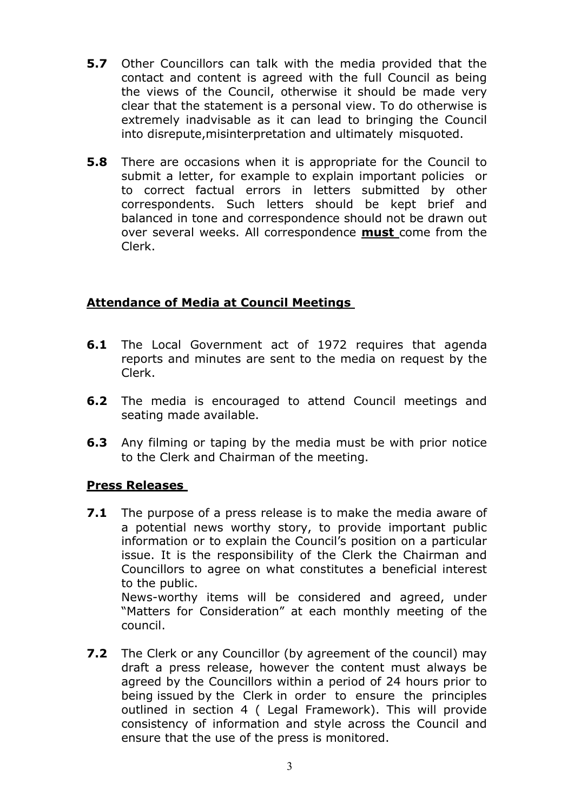- **5.7** Other Councillors can talk with the media provided that the contact and content is agreed with the full Council as being the views of the Council, otherwise it should be made very clear that the statement is a personal view. To do otherwise is extremely inadvisable as it can lead to bringing the Council into disrepute,misinterpretation and ultimately misquoted.
- **5.8** There are occasions when it is appropriate for the Council to submit a letter, for example to explain important policies or to correct factual errors in letters submitted by other correspondents. Such letters should be kept brief and balanced in tone and correspondence should not be drawn out over several weeks. All correspondence **must** come from the Clerk.

# Attendance of Media at Council Meetings

- **6.1** The Local Government act of 1972 requires that agenda reports and minutes are sent to the media on request by the Clerk.
- **6.2** The media is encouraged to attend Council meetings and seating made available.
- **6.3** Any filming or taping by the media must be with prior notice to the Clerk and Chairman of the meeting.

### Press Releases

council.

- **7.1** The purpose of a press release is to make the media aware of a potential news worthy story, to provide important public information or to explain the Council's position on a particular issue. It is the responsibility of the Clerk the Chairman and Councillors to agree on what constitutes a beneficial interest to the public. News-worthy items will be considered and agreed, under "Matters for Consideration" at each monthly meeting of the
- **7.2** The Clerk or any Councillor (by agreement of the council) may draft a press release, however the content must always be agreed by the Councillors within a period of 24 hours prior to being issued by the Clerk in order to ensure the principles outlined in section 4 ( Legal Framework). This will provide consistency of information and style across the Council and ensure that the use of the press is monitored.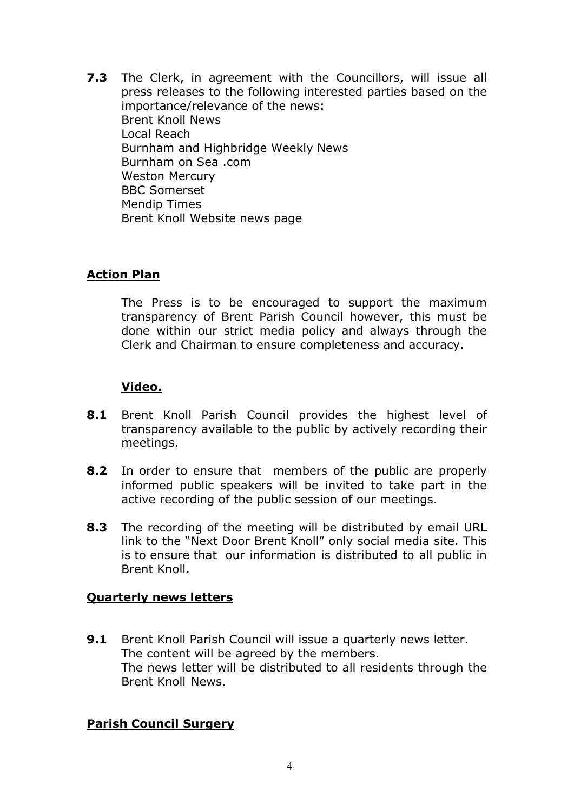**7.3** The Clerk, in agreement with the Councillors, will issue all press releases to the following interested parties based on the importance/relevance of the news: Brent Knoll News Local Reach Burnham and Highbridge Weekly News Burnham on Sea .com Weston Mercury BBC Somerset Mendip Times Brent Knoll Website news page

### Action Plan

 The Press is to be encouraged to support the maximum transparency of Brent Parish Council however, this must be done within our strict media policy and always through the Clerk and Chairman to ensure completeness and accuracy.

### Video.

- 8.1 Brent Knoll Parish Council provides the highest level of transparency available to the public by actively recording their meetings.
- 8.2 In order to ensure that members of the public are properly informed public speakers will be invited to take part in the active recording of the public session of our meetings.
- 8.3 The recording of the meeting will be distributed by email URL link to the "Next Door Brent Knoll" only social media site. This is to ensure that our information is distributed to all public in Brent Knoll.

#### Quarterly news letters

9.1 Brent Knoll Parish Council will issue a quarterly news letter. The content will be agreed by the members. The news letter will be distributed to all residents through the Brent Knoll News.

#### Parish Council Surgery